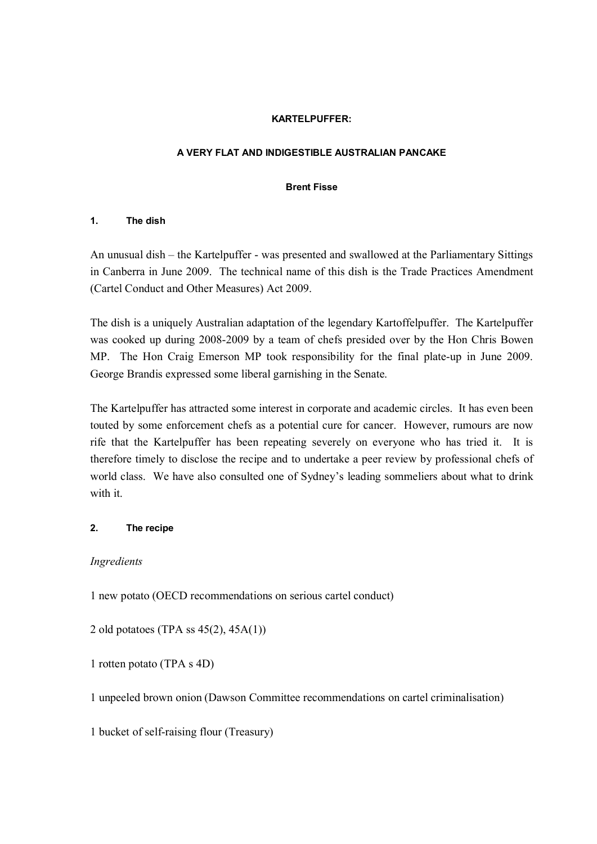#### **KARTELPUFFER:**

## **A VERY FLAT AND INDIGESTIBLE AUSTRALIAN PANCAKE**

#### **Brent Fisse**

## **1. The dish**

An unusual dish – the Kartelpuffer - was presented and swallowed at the Parliamentary Sittings in Canberra in June 2009. The technical name of this dish is the Trade Practices Amendment (Cartel Conduct and Other Measures) Act 2009.

The dish is a uniquely Australian adaptation of the legendary Kartoffelpuffer. The Kartelpuffer was cooked up during 2008-2009 by a team of chefs presided over by the Hon Chris Bowen MP. The Hon Craig Emerson MP took responsibility for the final plate-up in June 2009. George Brandis expressed some liberal garnishing in the Senate.

The Kartelpuffer has attracted some interest in corporate and academic circles. It has even been touted by some enforcement chefs as a potential cure for cancer. However, rumours are now rife that the Kartelpuffer has been repeating severely on everyone who has tried it. It is therefore timely to disclose the recipe and to undertake a peer review by professional chefs of world class. We have also consulted one of Sydney's leading sommeliers about what to drink with it.

## **2. The recipe**

## *Ingredients*

1 new potato (OECD recommendations on serious cartel conduct)

2 old potatoes (TPA ss 45(2), 45A(1))

1 rotten potato (TPA s 4D)

1 unpeeled brown onion (Dawson Committee recommendations on cartel criminalisation)

1 bucket of self-raising flour (Treasury)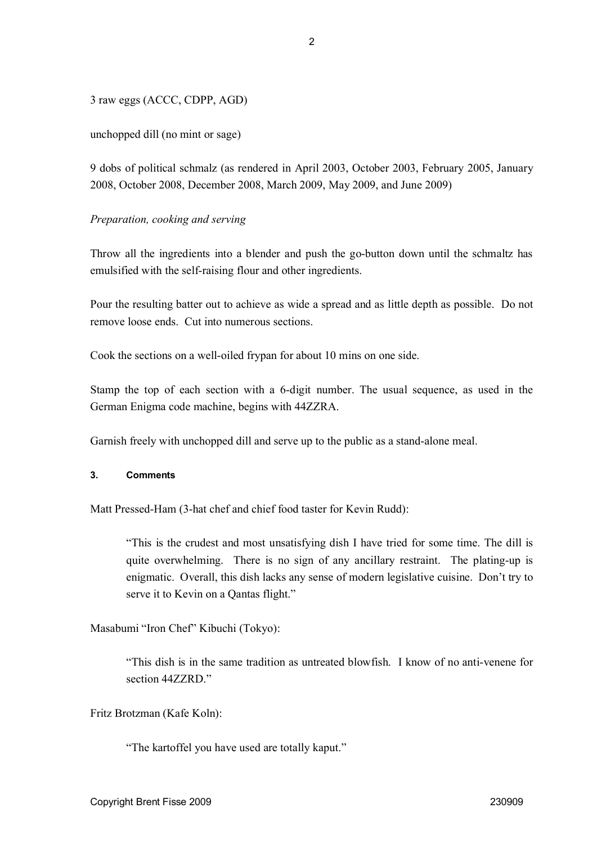3 raw eggs (ACCC, CDPP, AGD)

unchopped dill (no mint or sage)

9 dobs of political schmalz (as rendered in April 2003, October 2003, February 2005, January 2008, October 2008, December 2008, March 2009, May 2009, and June 2009)

# *Preparation, cooking and serving*

Throw all the ingredients into a blender and push the go-button down until the schmaltz has emulsified with the self-raising flour and other ingredients.

Pour the resulting batter out to achieve as wide a spread and as little depth as possible. Do not remove loose ends. Cut into numerous sections.

Cook the sections on a well-oiled frypan for about 10 mins on one side.

Stamp the top of each section with a 6-digit number. The usual sequence, as used in the German Enigma code machine, begins with 44ZZRA.

Garnish freely with unchopped dill and serve up to the public as a stand-alone meal.

## **3. Comments**

Matt Pressed-Ham (3-hat chef and chief food taster for Kevin Rudd):

"This is the crudest and most unsatisfying dish I have tried for some time. The dill is quite overwhelming. There is no sign of any ancillary restraint. The plating-up is enigmatic. Overall, this dish lacks any sense of modern legislative cuisine. Don't try to serve it to Kevin on a Qantas flight."

Masabumi "Iron Chef" Kibuchi (Tokyo):

"This dish is in the same tradition as untreated blowfish. I know of no anti-venene for section 44ZZRD."

Fritz Brotzman (Kafe Koln):

"The kartoffel you have used are totally kaput."